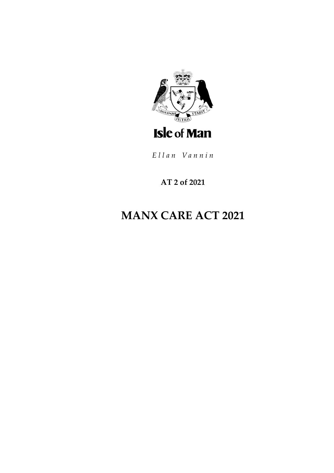

Ellan Vannin

## **AT 2 of 2021**

# **MANX CARE ACT 2021**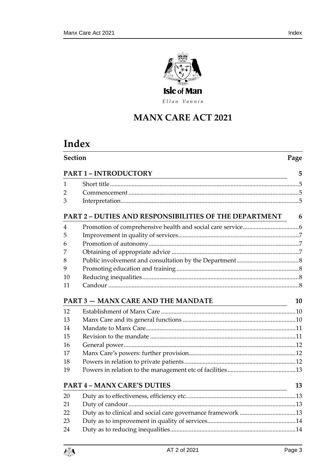

Ellan Vannin

# **MANX CARE ACT 2021**

# **Index**

|    | <b>Section</b>                                                                                |    |  |
|----|-----------------------------------------------------------------------------------------------|----|--|
|    | <b>PART 1 - INTRODUCTORY</b>                                                                  | 5  |  |
| 1  |                                                                                               |    |  |
| 2  |                                                                                               |    |  |
| 3  |                                                                                               |    |  |
|    | PART 2 - DUTIES AND RESPONSIBILITIES OF THE DEPARTMENT                                        | 6  |  |
| 4  |                                                                                               |    |  |
| 5  |                                                                                               |    |  |
| 6  |                                                                                               |    |  |
| 7  |                                                                                               |    |  |
| 8  |                                                                                               |    |  |
| 9  |                                                                                               |    |  |
| 10 |                                                                                               |    |  |
| 11 |                                                                                               |    |  |
|    | <b>PART 3 - MANX CARE AND THE MANDATE</b>                                                     | 10 |  |
| 12 |                                                                                               |    |  |
| 13 |                                                                                               |    |  |
| 14 |                                                                                               |    |  |
| 15 |                                                                                               |    |  |
| 16 |                                                                                               |    |  |
| 17 |                                                                                               |    |  |
| 18 |                                                                                               |    |  |
| 19 |                                                                                               |    |  |
|    | <b>PART 4 - MANX CARE'S DUTIES</b><br><u> 1980 - Johann Barnett, fransk politik (f. 1980)</u> | 13 |  |
| 20 |                                                                                               |    |  |
| 21 |                                                                                               |    |  |
| 22 |                                                                                               |    |  |
| 23 |                                                                                               |    |  |
| 24 |                                                                                               |    |  |

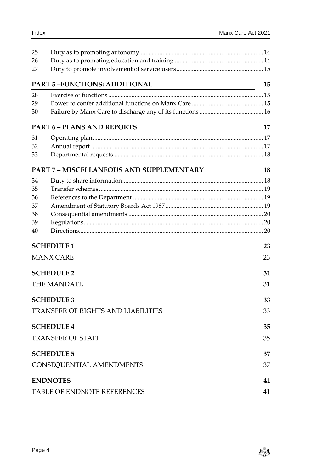| 25                       |                                                                                                                                                           |    |  |
|--------------------------|-----------------------------------------------------------------------------------------------------------------------------------------------------------|----|--|
| 26                       |                                                                                                                                                           |    |  |
| 27                       |                                                                                                                                                           |    |  |
|                          | <b>PART 5-FUNCTIONS: ADDITIONAL</b>                                                                                                                       | 15 |  |
| 28                       |                                                                                                                                                           |    |  |
| 29                       |                                                                                                                                                           |    |  |
| 30                       |                                                                                                                                                           |    |  |
|                          | <b>PART 6 - PLANS AND REPORTS</b><br><u> 1980 - Johann Barn, mars ann an t-Amhain Aonaich an t-Aonaich an t-Aonaich ann an t-Aonaich ann an t-Aonaich</u> | 17 |  |
| 31                       |                                                                                                                                                           |    |  |
| 32                       |                                                                                                                                                           |    |  |
| 33                       |                                                                                                                                                           |    |  |
|                          | <b>PART 7 - MISCELLANEOUS AND SUPPLEMENTARY</b>                                                                                                           | 18 |  |
| 34                       |                                                                                                                                                           |    |  |
| 35                       |                                                                                                                                                           |    |  |
| 36                       |                                                                                                                                                           |    |  |
| 37                       |                                                                                                                                                           |    |  |
| 38                       |                                                                                                                                                           |    |  |
| 39                       |                                                                                                                                                           |    |  |
| 40                       |                                                                                                                                                           |    |  |
|                          | <b>SCHEDULE 1</b>                                                                                                                                         | 23 |  |
|                          | <b>MANX CARE</b>                                                                                                                                          | 23 |  |
|                          | <b>SCHEDULE 2</b>                                                                                                                                         | 31 |  |
|                          | <b>THE MANDATE</b>                                                                                                                                        | 31 |  |
|                          | <b>SCHEDULE 3</b>                                                                                                                                         | 33 |  |
|                          | <b>TRANSFER OF RIGHTS AND LIABILITIES</b>                                                                                                                 |    |  |
|                          | <b>SCHEDULE 4</b>                                                                                                                                         | 35 |  |
| <b>TRANSFER OF STAFF</b> |                                                                                                                                                           |    |  |
|                          | <b>SCHEDULE 5</b>                                                                                                                                         | 37 |  |
|                          | CONSEQUENTIAL AMENDMENTS                                                                                                                                  |    |  |
|                          | <b>ENDNOTES</b>                                                                                                                                           | 41 |  |
|                          | TABLE OF ENDNOTE REFERENCES                                                                                                                               |    |  |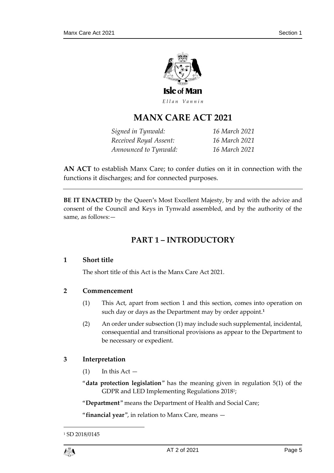

Ellan Vannin

## **MANX CARE ACT 2021**

*Signed in Tynwald: 16 March 2021 Received Royal Assent: 16 March 2021 Announced to Tynwald: 16 March 2021*

**AN ACT** to establish Manx Care; to confer duties on it in connection with the functions it discharges; and for connected purposes.

<span id="page-4-0"></span>**BE IT ENACTED** by the Queen's Most Excellent Majesty, by and with the advice and consent of the Council and Keys in Tynwald assembled, and by the authority of the same, as follows:—

## **PART 1 – INTRODUCTORY**

## <span id="page-4-1"></span>**1 Short title**

The short title of this Act is the Manx Care Act 2021.

## <span id="page-4-2"></span>**2 Commencement**

- (1) This Act, apart from section 1 and this section, comes into operation on such day or days as the Department may by order appoint.**<sup>1</sup>**
- (2) An order under subsection (1) may include such supplemental, incidental, consequential and transitional provisions as appear to the Department to be necessary or expedient.

## <span id="page-4-3"></span>**3 Interpretation**

- $(1)$  In this Act  $-$
- "**data protection legislation**" has the meaning given in regulation 5(1) of the GDPR and LED Implementing Regulations 2018<sup>1</sup> ;

"**Department**" means the Department of Health and Social Care;

"**financial year**", in relation to Manx Care, means —

<sup>&</sup>lt;sup>1</sup> SD 2018/0145



1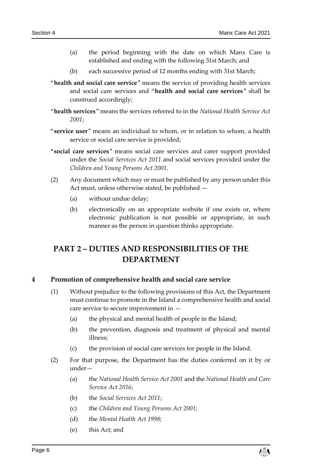- (a) the period beginning with the date on which Manx Care is established and ending with the following 31st March; and
- (b) each successive period of 12 months ending with 31st March;
- "**health and social care service**" means the service of providing health services and social care services and "**health and social care services**" shall be construed accordingly;
- "**health services**" means the services referred to in the *National Health Service Act 2001*;
- "**service user**" means an individual to whom, or in relation to whom, a health service or social care service is provided;
- "**social care services**" means social care services and carer support provided under the *Social Services Act 2011* and social services provided under the *Children and Young Persons Act 2001*.
- (2) Any document which may or must be published by any person under this Act must, unless otherwise stated, be published —
	- (a) without undue delay;
	- (b) electronically on an appropriate website if one exists or, where electronic publication is not possible or appropriate, in such manner as the person in question thinks appropriate.

## <span id="page-5-0"></span>**PART 2 – DUTIES AND RESPONSIBILITIES OF THE DEPARTMENT**

## <span id="page-5-1"></span>**4 Promotion of comprehensive health and social care service**

- (1) Without prejudice to the following provisions of this Act, the Department must continue to promote in the Island a comprehensive health and social care service to secure improvement in —
	- (a) the physical and mental health of people in the Island;
	- (b) the prevention, diagnosis and treatment of physical and mental illness;
	- (c) the provision of social care services for people in the Island.
- (2) For that purpose, the Department has the duties conferred on it by or under—
	- (a) the *National Health Service Act 2001* and the *National Health and Care Service Act 2016*;
	- (b) the *Social Services Act 2011*;
	- (c) the *Children and Young Persons Act 2001*;
	- (d) the *Mental Health Act 1998*;
	- (e) this Act; and

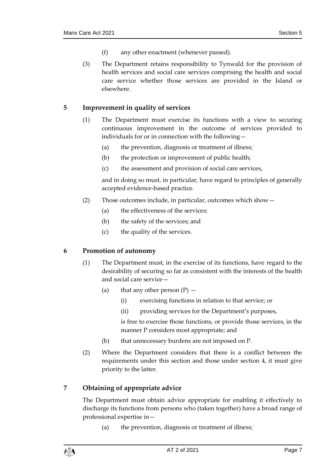- (f) any other enactment (whenever passed).
- (3) The Department retains responsibility to Tynwald for the provision of health services and social care services comprising the health and social care service whether those services are provided in the Island or elsewhere.

## <span id="page-6-0"></span>**5 Improvement in quality of services**

- (1) The Department must exercise its functions with a view to securing continuous improvement in the outcome of services provided to individuals for or in connection with the following—
	- (a) the prevention, diagnosis or treatment of illness;
	- (b) the protection or improvement of public health;
	- (c) the assessment and provision of social care services,

and in doing so must, in particular, have regard to principles of generally accepted evidence-based practice.

- (2) Those outcomes include, in particular, outcomes which show—
	- (a) the effectiveness of the services;
	- (b) the safety of the services; and
	- (c) the quality of the services.

## <span id="page-6-1"></span>**6 Promotion of autonomy**

- (1) The Department must, in the exercise of its functions, have regard to the desirability of securing so far as consistent with the interests of the health and social care service—
	- (a) that any other person  $(P)$ 
		- (i) exercising functions in relation to that service; or
		- (ii) providing services for the Department's purposes,

is free to exercise those functions, or provide those services, in the manner P considers most appropriate; and

- (b) that unnecessary burdens are not imposed on P.
- (2) Where the Department considers that there is a conflict between the requirements under this section and those under section 4, it must give priority to the latter.

## <span id="page-6-2"></span>**7 Obtaining of appropriate advice**

The Department must obtain advice appropriate for enabling it effectively to discharge its functions from persons who (taken together) have a broad range of professional expertise in—

(a) the prevention, diagnosis or treatment of illness;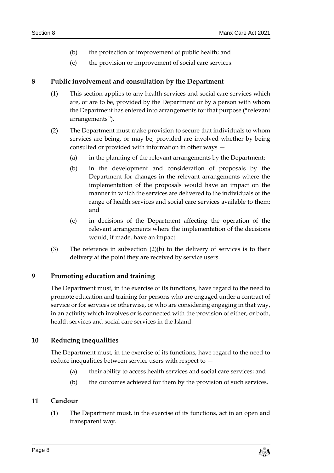- (b) the protection or improvement of public health; and
- (c) the provision or improvement of social care services.

## <span id="page-7-0"></span>**8 Public involvement and consultation by the Department**

- (1) This section applies to any health services and social care services which are, or are to be, provided by the Department or by a person with whom the Department has entered into arrangements for that purpose ("relevant arrangements").
- (2) The Department must make provision to secure that individuals to whom services are being, or may be, provided are involved whether by being consulted or provided with information in other ways —
	- (a) in the planning of the relevant arrangements by the Department;
	- (b) in the development and consideration of proposals by the Department for changes in the relevant arrangements where the implementation of the proposals would have an impact on the manner in which the services are delivered to the individuals or the range of health services and social care services available to them; and
	- (c) in decisions of the Department affecting the operation of the relevant arrangements where the implementation of the decisions would, if made, have an impact.
- (3) The reference in subsection (2)(b) to the delivery of services is to their delivery at the point they are received by service users.

## <span id="page-7-1"></span>**9 Promoting education and training**

The Department must, in the exercise of its functions, have regard to the need to promote education and training for persons who are engaged under a contract of service or for services or otherwise, or who are considering engaging in that way, in an activity which involves or is connected with the provision of either, or both, health services and social care services in the Island.

## <span id="page-7-2"></span>**10 Reducing inequalities**

The Department must, in the exercise of its functions, have regard to the need to reduce inequalities between service users with respect to —

- (a) their ability to access health services and social care services; and
- (b) the outcomes achieved for them by the provision of such services.

## <span id="page-7-3"></span>**11 Candour**

(1) The Department must, in the exercise of its functions, act in an open and transparent way.

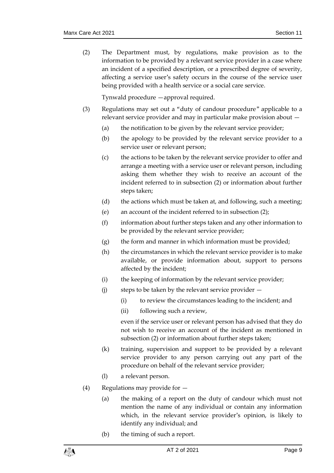(2) The Department must, by regulations, make provision as to the information to be provided by a relevant service provider in a case where an incident of a specified description, or a prescribed degree of severity, affecting a service user's safety occurs in the course of the service user being provided with a health service or a social care service.

Tynwald procedure —approval required.

- (3) Regulations may set out a "duty of candour procedure" applicable to a relevant service provider and may in particular make provision about —
	- (a) the notification to be given by the relevant service provider;
	- (b) the apology to be provided by the relevant service provider to a service user or relevant person;
	- (c) the actions to be taken by the relevant service provider to offer and arrange a meeting with a service user or relevant person, including asking them whether they wish to receive an account of the incident referred to in subsection (2) or information about further steps taken;
	- (d) the actions which must be taken at, and following, such a meeting;
	- (e) an account of the incident referred to in subsection (2);
	- (f) information about further steps taken and any other information to be provided by the relevant service provider;
	- (g) the form and manner in which information must be provided;
	- (h) the circumstances in which the relevant service provider is to make available, or provide information about, support to persons affected by the incident;
	- (i) the keeping of information by the relevant service provider;
	- (j) steps to be taken by the relevant service provider
		- (i) to review the circumstances leading to the incident; and
		- (ii) following such a review,

even if the service user or relevant person has advised that they do not wish to receive an account of the incident as mentioned in subsection (2) or information about further steps taken;

- (k) training, supervision and support to be provided by a relevant service provider to any person carrying out any part of the procedure on behalf of the relevant service provider;
- (l) a relevant person.
- (4) Regulations may provide for
	- (a) the making of a report on the duty of candour which must not mention the name of any individual or contain any information which, in the relevant service provider's opinion, is likely to identify any individual; and
	- (b) the timing of such a report.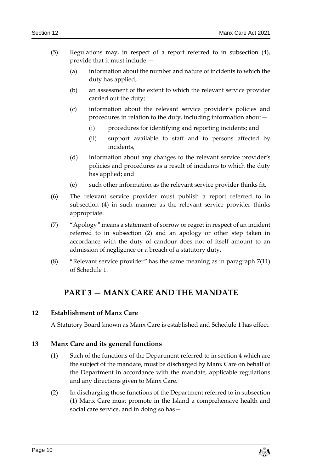- (5) Regulations may, in respect of a report referred to in subsection (4), provide that it must include —
	- (a) information about the number and nature of incidents to which the duty has applied;
	- (b) an assessment of the extent to which the relevant service provider carried out the duty;
	- (c) information about the relevant service provider's policies and procedures in relation to the duty, including information about—
		- (i) procedures for identifying and reporting incidents; and
		- (ii) support available to staff and to persons affected by incidents,
	- (d) information about any changes to the relevant service provider's policies and procedures as a result of incidents to which the duty has applied; and
	- (e) such other information as the relevant service provider thinks fit.
- (6) The relevant service provider must publish a report referred to in subsection (4) in such manner as the relevant service provider thinks appropriate.
- (7) "Apology" means a statement of sorrow or regret in respect of an incident referred to in subsection (2) and an apology or other step taken in accordance with the duty of candour does not of itself amount to an admission of negligence or a breach of a statutory duty.
- <span id="page-9-0"></span>(8) "Relevant service provider" has the same meaning as in paragraph 7(11) of Schedule 1.

## **PART 3 — MANX CARE AND THE MANDATE**

## <span id="page-9-1"></span>**12 Establishment of Manx Care**

A Statutory Board known as Manx Care is established and Schedule 1 has effect.

## <span id="page-9-2"></span>**13 Manx Care and its general functions**

- (1) Such of the functions of the Department referred to in section 4 which are the subject of the mandate, must be discharged by Manx Care on behalf of the Department in accordance with the mandate, applicable regulations and any directions given to Manx Care.
- (2) In discharging those functions of the Department referred to in subsection (1) Manx Care must promote in the Island a comprehensive health and social care service, and in doing so has—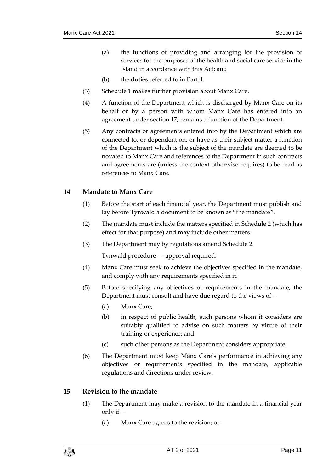- (a) the functions of providing and arranging for the provision of services for the purposes of the health and social care service in the Island in accordance with this Act; and
- (b) the duties referred to in Part 4.
- (3) Schedule 1 makes further provision about Manx Care.
- (4) A function of the Department which is discharged by Manx Care on its behalf or by a person with whom Manx Care has entered into an agreement under section 17, remains a function of the Department.
- (5) Any contracts or agreements entered into by the Department which are connected to, or dependent on, or have as their subject matter a function of the Department which is the subject of the mandate are deemed to be novated to Manx Care and references to the Department in such contracts and agreements are (unless the context otherwise requires) to be read as references to Manx Care.

## <span id="page-10-0"></span>**14 Mandate to Manx Care**

- (1) Before the start of each financial year, the Department must publish and lay before Tynwald a document to be known as "the mandate".
- (2) The mandate must include the matters specified in Schedule 2 (which has effect for that purpose) and may include other matters.
- (3) The Department may by regulations amend Schedule 2.

Tynwald procedure — approval required.

- (4) Manx Care must seek to achieve the objectives specified in the mandate, and comply with any requirements specified in it.
- (5) Before specifying any objectives or requirements in the mandate, the Department must consult and have due regard to the views of—
	- (a) Manx Care;
	- (b) in respect of public health, such persons whom it considers are suitably qualified to advise on such matters by virtue of their training or experience; and
	- (c) such other persons as the Department considers appropriate.
- (6) The Department must keep Manx Care's performance in achieving any objectives or requirements specified in the mandate, applicable regulations and directions under review.

## <span id="page-10-1"></span>**15 Revision to the mandate**

- (1) The Department may make a revision to the mandate in a financial year only if—
	- (a) Manx Care agrees to the revision; or

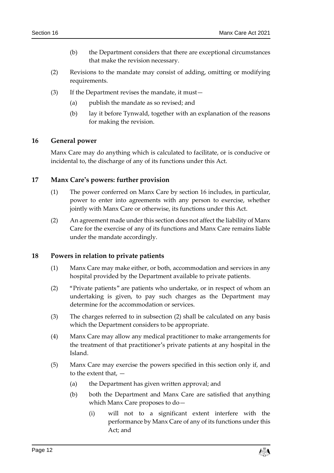- (b) the Department considers that there are exceptional circumstances that make the revision necessary.
- (2) Revisions to the mandate may consist of adding, omitting or modifying requirements.
- (3) If the Department revises the mandate, it must—
	- (a) publish the mandate as so revised; and
	- (b) lay it before Tynwald, together with an explanation of the reasons for making the revision.

## <span id="page-11-0"></span>**16 General power**

Manx Care may do anything which is calculated to facilitate, or is conducive or incidental to, the discharge of any of its functions under this Act.

## <span id="page-11-1"></span>**17 Manx Care's powers: further provision**

- (1) The power conferred on Manx Care by section 16 includes, in particular, power to enter into agreements with any person to exercise, whether jointly with Manx Care or otherwise, its functions under this Act.
- (2) An agreement made under this section does not affect the liability of Manx Care for the exercise of any of its functions and Manx Care remains liable under the mandate accordingly.

### <span id="page-11-2"></span>**18 Powers in relation to private patients**

- (1) Manx Care may make either, or both, accommodation and services in any hospital provided by the Department available to private patients.
- (2) "Private patients" are patients who undertake, or in respect of whom an undertaking is given, to pay such charges as the Department may determine for the accommodation or services.
- (3) The charges referred to in subsection (2) shall be calculated on any basis which the Department considers to be appropriate.
- (4) Manx Care may allow any medical practitioner to make arrangements for the treatment of that practitioner's private patients at any hospital in the Island.
- (5) Manx Care may exercise the powers specified in this section only if, and to the extent that, —
	- (a) the Department has given written approval; and
	- (b) both the Department and Manx Care are satisfied that anything which Manx Care proposes to do—
		- (i) will not to a significant extent interfere with the performance by Manx Care of any of its functions under this Act; and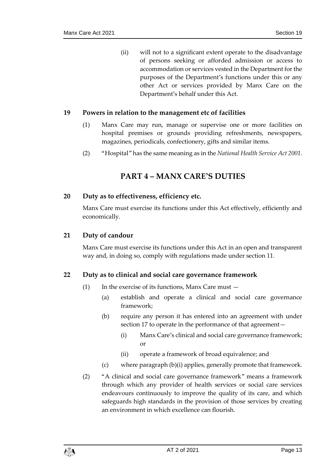(ii) will not to a significant extent operate to the disadvantage of persons seeking or afforded admission or access to accommodation or services vested in the Department for the purposes of the Department's functions under this or any other Act or services provided by Manx Care on the Department's behalf under this Act.

## <span id="page-12-0"></span>**19 Powers in relation to the management etc of facilities**

- (1) Manx Care may run, manage or supervise one or more facilities on hospital premises or grounds providing refreshments, newspapers, magazines, periodicals, confectionery, gifts and similar items.
- <span id="page-12-1"></span>(2) "Hospital" has the same meaning as in the *National Health Service Act 2001*.

## **PART 4 – MANX CARE'S DUTIES**

## <span id="page-12-2"></span>**20 Duty as to effectiveness, efficiency etc.**

Manx Care must exercise its functions under this Act effectively, efficiently and economically.

## <span id="page-12-3"></span>**21 Duty of candour**

Manx Care must exercise its functions under this Act in an open and transparent way and, in doing so, comply with regulations made under section 11.

## <span id="page-12-4"></span>**22 Duty as to clinical and social care governance framework**

- $(1)$  In the exercise of its functions, Manx Care must  $-$ 
	- (a) establish and operate a clinical and social care governance framework;
	- (b) require any person it has entered into an agreement with under section 17 to operate in the performance of that agreement—
		- (i) Manx Care's clinical and social care governance framework; or
		- (ii) operate a framework of broad equivalence; and
	- (c) where paragraph (b)(i) applies, generally promote that framework.
- (2) "A clinical and social care governance framework" means a framework through which any provider of health services or social care services endeavours continuously to improve the quality of its care, and which safeguards high standards in the provision of those services by creating an environment in which excellence can flourish.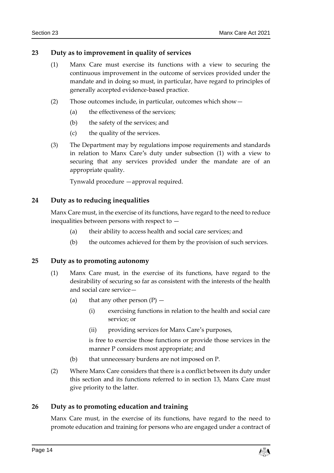## <span id="page-13-0"></span>**23 Duty as to improvement in quality of services**

- (1) Manx Care must exercise its functions with a view to securing the continuous improvement in the outcome of services provided under the mandate and in doing so must, in particular, have regard to principles of generally accepted evidence-based practice.
- (2) Those outcomes include, in particular, outcomes which show—
	- (a) the effectiveness of the services;
	- (b) the safety of the services; and
	- (c) the quality of the services.
- (3) The Department may by regulations impose requirements and standards in relation to Manx Care's duty under subsection (1) with a view to securing that any services provided under the mandate are of an appropriate quality.

Tynwald procedure —approval required.

## <span id="page-13-1"></span>**24 Duty as to reducing inequalities**

Manx Care must, in the exercise of its functions, have regard to the need to reduce inequalities between persons with respect to —

- (a) their ability to access health and social care services; and
- (b) the outcomes achieved for them by the provision of such services.

## <span id="page-13-2"></span>**25 Duty as to promoting autonomy**

- (1) Manx Care must, in the exercise of its functions, have regard to the desirability of securing so far as consistent with the interests of the health and social care service—
	- (a) that any other person  $(P)$ 
		- (i) exercising functions in relation to the health and social care service; or
		- (ii) providing services for Manx Care's purposes,

is free to exercise those functions or provide those services in the manner P considers most appropriate; and

- (b) that unnecessary burdens are not imposed on P.
- (2) Where Manx Care considers that there is a conflict between its duty under this section and its functions referred to in section 13, Manx Care must give priority to the latter.

## <span id="page-13-3"></span>**26 Duty as to promoting education and training**

Manx Care must, in the exercise of its functions, have regard to the need to promote education and training for persons who are engaged under a contract of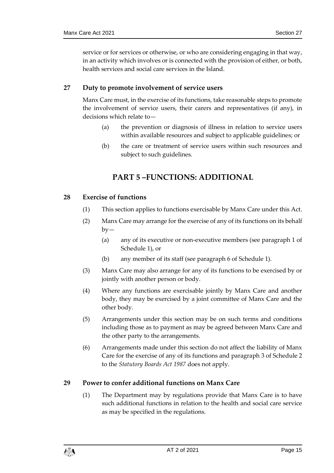service or for services or otherwise, or who are considering engaging in that way, in an activity which involves or is connected with the provision of either, or both, health services and social care services in the Island.

## <span id="page-14-0"></span>**27 Duty to promote involvement of service users**

Manx Care must, in the exercise of its functions, take reasonable steps to promote the involvement of service users, their carers and representatives (if any), in decisions which relate to—

- (a) the prevention or diagnosis of illness in relation to service users within available resources and subject to applicable guidelines; or
- (b) the care or treatment of service users within such resources and subject to such guidelines.

## **PART 5 –FUNCTIONS: ADDITIONAL**

## <span id="page-14-2"></span><span id="page-14-1"></span>**28 Exercise of functions**

- (1) This section applies to functions exercisable by Manx Care under this Act.
- (2) Manx Care may arrange for the exercise of any of its functions on its behalf  $by-$ 
	- (a) any of its executive or non-executive members (see paragraph 1 of Schedule 1), or
	- (b) any member of its staff (see paragraph 6 of Schedule 1).
- (3) Manx Care may also arrange for any of its functions to be exercised by or jointly with another person or body.
- (4) Where any functions are exercisable jointly by Manx Care and another body, they may be exercised by a joint committee of Manx Care and the other body.
- (5) Arrangements under this section may be on such terms and conditions including those as to payment as may be agreed between Manx Care and the other party to the arrangements.
- (6) Arrangements made under this section do not affect the liability of Manx Care for the exercise of any of its functions and paragraph 3 of Schedule 2 to the *Statutory Boards Act 1987* does not apply.

## <span id="page-14-3"></span>**29 Power to confer additional functions on Manx Care**

(1) The Department may by regulations provide that Manx Care is to have such additional functions in relation to the health and social care service as may be specified in the regulations.

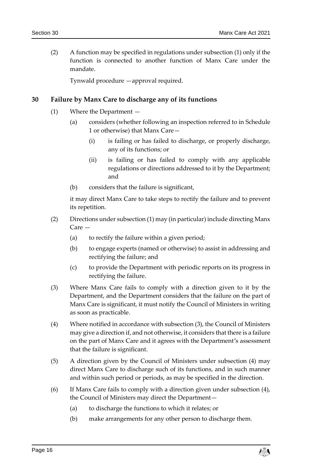(2) A function may be specified in regulations under subsection (1) only if the function is connected to another function of Manx Care under the mandate.

Tynwald procedure —approval required.

## <span id="page-15-0"></span>**30 Failure by Manx Care to discharge any of its functions**

- (1) Where the Department
	- (a) considers (whether following an inspection referred to in Schedule 1 or otherwise) that Manx Care—
		- (i) is failing or has failed to discharge, or properly discharge, any of its functions; or
		- (ii) is failing or has failed to comply with any applicable regulations or directions addressed to it by the Department; and
	- (b) considers that the failure is significant,

it may direct Manx Care to take steps to rectify the failure and to prevent its repetition.

- (2) Directions under subsection (1) may (in particular) include directing Manx Care —
	- (a) to rectify the failure within a given period;
	- (b) to engage experts (named or otherwise) to assist in addressing and rectifying the failure; and
	- (c) to provide the Department with periodic reports on its progress in rectifying the failure.
- (3) Where Manx Care fails to comply with a direction given to it by the Department, and the Department considers that the failure on the part of Manx Care is significant, it must notify the Council of Ministers in writing as soon as practicable.
- (4) Where notified in accordance with subsection (3), the Council of Ministers may give a direction if, and not otherwise, it considers that there is a failure on the part of Manx Care and it agrees with the Department's assessment that the failure is significant.
- (5) A direction given by the Council of Ministers under subsection (4) may direct Manx Care to discharge such of its functions, and in such manner and within such period or periods, as may be specified in the direction.
- (6) If Manx Care fails to comply with a direction given under subsection (4), the Council of Ministers may direct the Department—
	- (a) to discharge the functions to which it relates; or
	- (b) make arrangements for any other person to discharge them.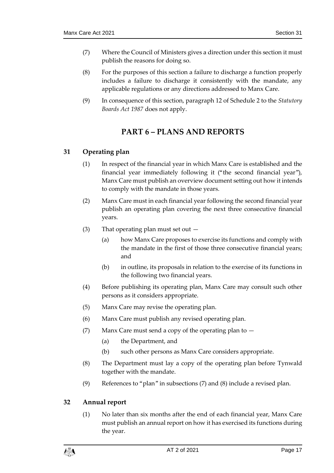- (7) Where the Council of Ministers gives a direction under this section it must publish the reasons for doing so.
- (8) For the purposes of this section a failure to discharge a function properly includes a failure to discharge it consistently with the mandate, any applicable regulations or any directions addressed to Manx Care.
- <span id="page-16-0"></span>(9) In consequence of this section, paragraph 12 of Schedule 2 to the *Statutory Boards Act 1987* does not apply.

## **PART 6 – PLANS AND REPORTS**

## <span id="page-16-1"></span>**31 Operating plan**

- (1) In respect of the financial year in which Manx Care is established and the financial year immediately following it ("the second financial year"), Manx Care must publish an overview document setting out how it intends to comply with the mandate in those years.
- (2) Manx Care must in each financial year following the second financial year publish an operating plan covering the next three consecutive financial years.
- (3) That operating plan must set out
	- (a) how Manx Care proposes to exercise its functions and comply with the mandate in the first of those three consecutive financial years; and
	- (b) in outline, its proposals in relation to the exercise of its functions in the following two financial years.
- (4) Before publishing its operating plan, Manx Care may consult such other persons as it considers appropriate.
- (5) Manx Care may revise the operating plan.
- (6) Manx Care must publish any revised operating plan.
- (7) Manx Care must send a copy of the operating plan to
	- (a) the Department, and
	- (b) such other persons as Manx Care considers appropriate.
- (8) The Department must lay a copy of the operating plan before Tynwald together with the mandate.
- (9) References to "plan" in subsections (7) and (8) include a revised plan.

## <span id="page-16-2"></span>**32 Annual report**

(1) No later than six months after the end of each financial year, Manx Care must publish an annual report on how it has exercised its functions during the year.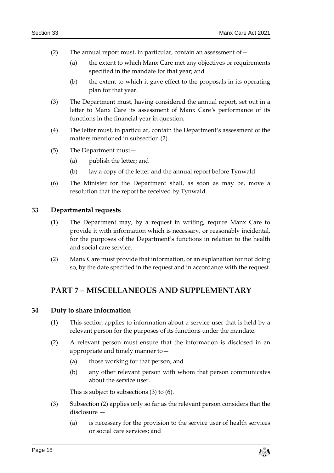- (2) The annual report must, in particular, contain an assessment of  $-$ 
	- (a) the extent to which Manx Care met any objectives or requirements specified in the mandate for that year; and
	- (b) the extent to which it gave effect to the proposals in its operating plan for that year.
- (3) The Department must, having considered the annual report, set out in a letter to Manx Care its assessment of Manx Care's performance of its functions in the financial year in question.
- (4) The letter must, in particular, contain the Department's assessment of the matters mentioned in subsection (2).
- (5) The Department must—
	- (a) publish the letter; and
	- (b) lay a copy of the letter and the annual report before Tynwald.
- (6) The Minister for the Department shall, as soon as may be, move a resolution that the report be received by Tynwald.

## <span id="page-17-0"></span>**33 Departmental requests**

- (1) The Department may, by a request in writing, require Manx Care to provide it with information which is necessary, or reasonably incidental, for the purposes of the Department's functions in relation to the health and social care service.
- (2) Manx Care must provide that information, or an explanation for not doing so, by the date specified in the request and in accordance with the request.

## <span id="page-17-1"></span>**PART 7 – MISCELLANEOUS AND SUPPLEMENTARY**

## <span id="page-17-2"></span>**34 Duty to share information**

- (1) This section applies to information about a service user that is held by a relevant person for the purposes of its functions under the mandate.
- (2) A relevant person must ensure that the information is disclosed in an appropriate and timely manner to—
	- (a) those working for that person; and
	- (b) any other relevant person with whom that person communicates about the service user.

This is subject to subsections (3) to (6).

- (3) Subsection (2) applies only so far as the relevant person considers that the disclosure —
	- (a) is necessary for the provision to the service user of health services or social care services; and

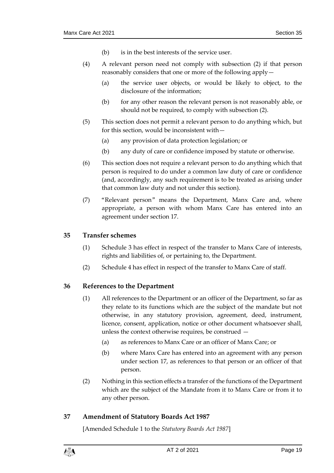- (b) is in the best interests of the service user.
- (4) A relevant person need not comply with subsection (2) if that person reasonably considers that one or more of the following apply—
	- (a) the service user objects, or would be likely to object, to the disclosure of the information;
	- (b) for any other reason the relevant person is not reasonably able, or should not be required, to comply with subsection (2).
- (5) This section does not permit a relevant person to do anything which, but for this section, would be inconsistent with—
	- (a) any provision of data protection legislation; or
	- (b) any duty of care or confidence imposed by statute or otherwise.
- (6) This section does not require a relevant person to do anything which that person is required to do under a common law duty of care or confidence (and, accordingly, any such requirement is to be treated as arising under that common law duty and not under this section).
- (7) "Relevant person" means the Department, Manx Care and, where appropriate, a person with whom Manx Care has entered into an agreement under section 17.

## <span id="page-18-0"></span>**35 Transfer schemes**

- (1) Schedule 3 has effect in respect of the transfer to Manx Care of interests, rights and liabilities of, or pertaining to, the Department.
- (2) Schedule 4 has effect in respect of the transfer to Manx Care of staff.

## <span id="page-18-1"></span>**36 References to the Department**

- (1) All references to the Department or an officer of the Department, so far as they relate to its functions which are the subject of the mandate but not otherwise, in any statutory provision, agreement, deed, instrument, licence, consent, application, notice or other document whatsoever shall, unless the context otherwise requires, be construed —
	- (a) as references to Manx Care or an officer of Manx Care; or
	- (b) where Manx Care has entered into an agreement with any person under section 17, as references to that person or an officer of that person.
- (2) Nothing in this section effects a transfer of the functions of the Department which are the subject of the Mandate from it to Manx Care or from it to any other person.

## <span id="page-18-2"></span>**37 Amendment of Statutory Boards Act 1987**

[Amended Schedule 1 to the *Statutory Boards Act 1987*]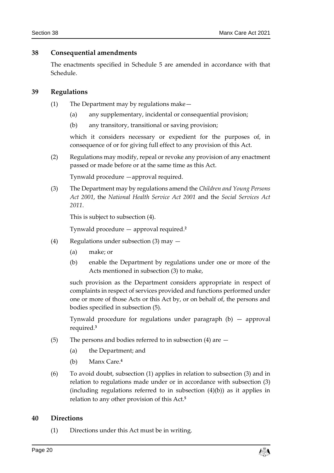## <span id="page-19-0"></span>**38 Consequential amendments**

The enactments specified in Schedule 5 are amended in accordance with that Schedule.

## <span id="page-19-1"></span>**39 Regulations**

- (1) The Department may by regulations make—
	- (a) any supplementary, incidental or consequential provision;
	- (b) any transitory, transitional or saving provision;

which it considers necessary or expedient for the purposes of, in consequence of or for giving full effect to any provision of this Act.

(2) Regulations may modify, repeal or revoke any provision of any enactment passed or made before or at the same time as this Act.

Tynwald procedure —approval required.

(3) The Department may by regulations amend the *Children and Young Persons Act 2001*, the *National Health Service Act 2001* and the *Social Services Act 2011*.

This is subject to subsection (4).

Tynwald procedure — approval required.**<sup>2</sup>**

- (4) Regulations under subsection (3) may
	- (a) make; or
	- (b) enable the Department by regulations under one or more of the Acts mentioned in subsection (3) to make,

such provision as the Department considers appropriate in respect of complaints in respect of services provided and functions performed under one or more of those Acts or this Act by, or on behalf of, the persons and bodies specified in subsection (5).

Tynwald procedure for regulations under paragraph (b) — approval required.**<sup>3</sup>**

- (5) The persons and bodies referred to in subsection (4) are  $-$ 
	- (a) the Department; and
	- (b) Manx Care.**<sup>4</sup>**
- (6) To avoid doubt, subsection (1) applies in relation to subsection (3) and in relation to regulations made under or in accordance with subsection (3) (including regulations referred to in subsection (4)(b)) as it applies in relation to any other provision of this Act.**<sup>5</sup>**

### <span id="page-19-2"></span>**40 Directions**

(1) Directions under this Act must be in writing.

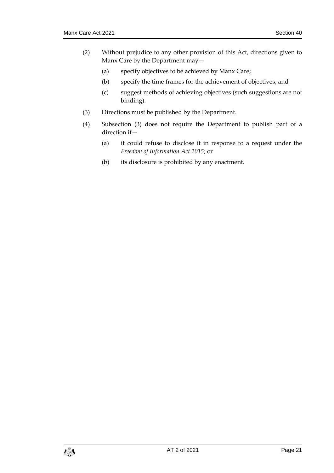- (2) Without prejudice to any other provision of this Act, directions given to Manx Care by the Department may—
	- (a) specify objectives to be achieved by Manx Care;
	- (b) specify the time frames for the achievement of objectives; and
	- (c) suggest methods of achieving objectives (such suggestions are not binding).
- (3) Directions must be published by the Department.
- (4) Subsection (3) does not require the Department to publish part of a direction if—
	- (a) it could refuse to disclose it in response to a request under the *Freedom of Information Act 2015*; or
	- (b) its disclosure is prohibited by any enactment.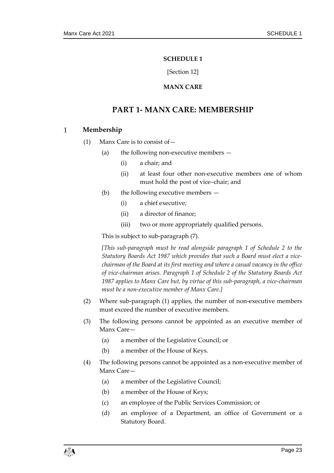### **SCHEDULE 1**

[Section 12]

## **MANX CARE**

## <span id="page-22-0"></span>**PART 1- MANX CARE: MEMBERSHIP**

#### <span id="page-22-1"></span> $\mathbf{1}$ **Membership**

- (1) Manx Care is to consist of—
	- (a) the following non-executive members  $-$ 
		- (i) a chair; and
		- (ii) at least four other non-executive members one of whom must hold the post of vice–chair; and
	- (b) the following executive members
		- (i) a chief executive;
		- (ii) a director of finance;
		- (iii) two or more appropriately qualified persons.

This is subject to sub-paragraph (7).

*[This sub-paragraph must be read alongside paragraph 1 of Schedule 2 to the Statutory Boards Act 1987 which provides that such a Board must elect a vicechairman of the Board at its first meeting and where a casual vacancy in the office of vice-chairman arises. Paragraph 1 of Schedule 2 of the Statutory Boards Act 1987 applies to Manx Care but, by virtue of this sub-paragraph, a vice-chairman must be a non-executive member of Manx Care.]*

- (2) Where sub-paragraph (1) applies, the number of non-executive members must exceed the number of executive members.
- (3) The following persons cannot be appointed as an executive member of Manx Care—
	- (a) a member of the Legislative Council; or
	- (b) a member of the House of Keys.
- (4) The following persons cannot be appointed as a non-executive member of Manx Care—
	- (a) a member of the Legislative Council;
	- (b) a member of the House of Keys;
	- (c) an employee of the Public Services Commission; or
	- (d) an employee of a Department, an office of Government or a Statutory Board.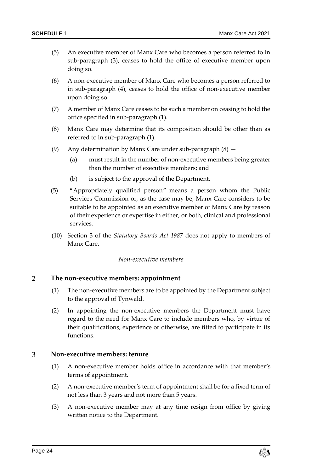- (5) An executive member of Manx Care who becomes a person referred to in sub-paragraph (3), ceases to hold the office of executive member upon doing so.
- (6) A non-executive member of Manx Care who becomes a person referred to in sub-paragraph (4), ceases to hold the office of non-executive member upon doing so.
- (7) A member of Manx Care ceases to be such a member on ceasing to hold the office specified in sub-paragraph (1).
- (8) Manx Care may determine that its composition should be other than as referred to in sub-paragraph (1).
- (9) Any determination by Manx Care under sub-paragraph (8)
	- (a) must result in the number of non-executive members being greater than the number of executive members; and
	- (b) is subject to the approval of the Department.
- (5) "Appropriately qualified person" means a person whom the Public Services Commission or, as the case may be, Manx Care considers to be suitable to be appointed as an executive member of Manx Care by reason of their experience or expertise in either, or both, clinical and professional services.
- (10) Section 3 of the *Statutory Boards Act 1987* does not apply to members of Manx Care.

### *Non-executive members*

### $\overline{2}$ **The non-executive members: appointment**

- (1) The non-executive members are to be appointed by the Department subject to the approval of Tynwald.
- (2) In appointing the non-executive members the Department must have regard to the need for Manx Care to include members who, by virtue of their qualifications, experience or otherwise, are fitted to participate in its functions.

#### 3 **Non-executive members: tenure**

- (1) A non-executive member holds office in accordance with that member's terms of appointment.
- (2) A non-executive member's term of appointment shall be for a fixed term of not less than 3 years and not more than 5 years.
- (3) A non-executive member may at any time resign from office by giving written notice to the Department.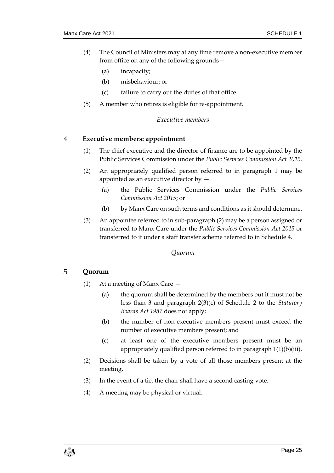- (4) The Council of Ministers may at any time remove a non-executive member from office on any of the following grounds—
	- (a) incapacity;
	- (b) misbehaviour; or
	- (c) failure to carry out the duties of that office.
- (5) A member who retires is eligible for re-appointment.

### *Executive members*

#### $\overline{4}$ **Executive members: appointment**

- (1) The chief executive and the director of finance are to be appointed by the Public Services Commission under the *Public Services Commission Act 2015*.
- (2) An appropriately qualified person referred to in paragraph 1 may be appointed as an executive director by —
	- (a) the Public Services Commission under the *Public Services Commission Act 2015*; or
	- (b) by Manx Care on such terms and conditions as it should determine.
- (3) An appointee referred to in sub-paragraph (2) may be a person assigned or transferred to Manx Care under the *Public Services Commission Act 2015* or transferred to it under a staff transfer scheme referred to in Schedule 4.

## *Quorum*

### 5 **Quorum**

- (1) At a meeting of Manx Care
	- (a) the quorum shall be determined by the members but it must not be less than 3 and paragraph 2(3)(c) of Schedule 2 to the *Statutory Boards Act 1987* does not apply;
	- (b) the number of non-executive members present must exceed the number of executive members present; and
	- (c) at least one of the executive members present must be an appropriately qualified person referred to in paragraph 1(1)(b)(iii).
- (2) Decisions shall be taken by a vote of all those members present at the meeting.
- (3) In the event of a tie, the chair shall have a second casting vote.
- (4) A meeting may be physical or virtual.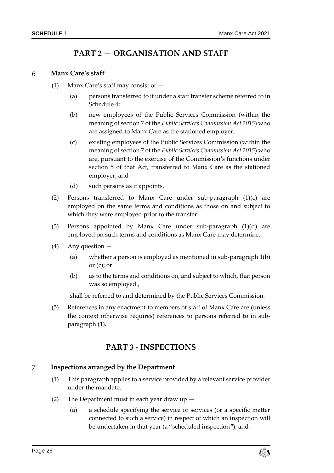## **PART 2 — ORGANISATION AND STAFF**

#### **Manx Care's staff** 6

- (1) Manx Care's staff may consist of
	- (a) persons transferred to it under a staff transfer scheme referred to in Schedule 4;
	- (b) new employees of the Public Services Commission (within the meaning of section 7 of the *Public Services Commission Act 2015*) who are assigned to Manx Care as the stationed employer;
	- (c) existing employees of the Public Services Commission (within the meaning of section 7 of the *Public Services Commission Act 2015*) who are, pursuant to the exercise of the Commission's functions under section 5 of that Act, transferred to Manx Care as the stationed employer; and
	- (d) such persons as it appoints.
- (2) Persons transferred to Manx Care under sub-paragraph (1)(c) are employed on the same terms and conditions as those on and subject to which they were employed prior to the transfer.
- (3) Persons appointed by Manx Care under sub-paragraph (1)(d) are employed on such terms and conditions as Manx Care may determine.
- (4) Any question
	- (a) whether a person is employed as mentioned in sub-paragraph 1(b) or  $(c)$ ; or
	- (b) as to the terms and conditions on, and subject to which, that person was so employed ,

shall be referred to and determined by the Public Services Commission.

(5) References in any enactment to members of staff of Manx Care are (unless the context otherwise requires) references to persons referred to in subparagraph (1).

## **PART 3 - INSPECTIONS**

### $\overline{7}$ **Inspections arranged by the Department**

- (1) This paragraph applies to a service provided by a relevant service provider under the mandate.
- (2) The Department must in each year draw up
	- (a) a schedule specifying the service or services (or a specific matter connected to such a service) in respect of which an inspection will be undertaken in that year (a "scheduled inspection"); and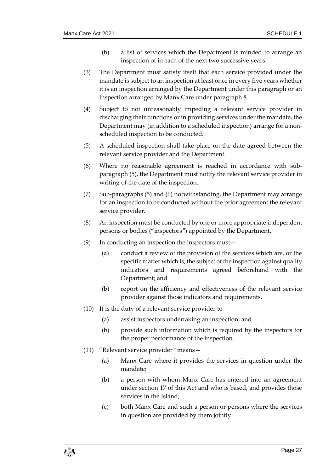- (b) a list of services which the Department is minded to arrange an inspection of in each of the next two successive years.
- (3) The Department must satisfy itself that each service provided under the mandate is subject to an inspection at least once in every five years whether it is an inspection arranged by the Department under this paragraph or an inspection arranged by Manx Care under paragraph 8.
- (4) Subject to not unreasonably impeding a relevant service provider in discharging their functions or in providing services under the mandate, the Department may (in addition to a scheduled inspection) arrange for a nonscheduled inspection to be conducted.
- (5) A scheduled inspection shall take place on the date agreed between the relevant service provider and the Department.
- (6) Where no reasonable agreement is reached in accordance with subparagraph (5), the Department must notify the relevant service provider in writing of the date of the inspection.
- (7) Sub-paragraphs (5) and (6) notwithstanding, the Department may arrange for an inspection to be conducted without the prior agreement the relevant service provider.
- (8) An inspection must be conducted by one or more appropriate independent persons or bodies ("inspectors") appointed by the Department.
- (9) In conducting an inspection the inspectors must—
	- (a) conduct a review of the provision of the services which are, or the specific matter which is, the subject of the inspection against quality indicators and requirements agreed beforehand with the Department; and
	- (b) report on the efficiency and effectiveness of the relevant service provider against those indicators and requirements.
- (10) It is the duty of a relevant service provider to  $-$ 
	- (a) assist inspectors undertaking an inspection; and
	- (b) provide such information which is required by the inspectors for the proper performance of the inspection.
- (11) "Relevant service provider" means—
	- (a) Manx Care where it provides the services in question under the mandate;
	- (b) a person with whom Manx Care has entered into an agreement under section 17 of this Act and who is based, and provides those services in the Island;
	- (c) both Manx Care and such a person or persons where the services in question are provided by them jointly.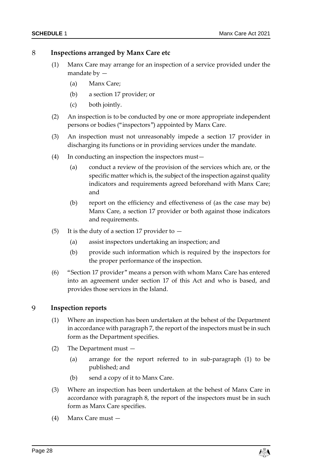### 8 **Inspections arranged by Manx Care etc**

- (1) Manx Care may arrange for an inspection of a service provided under the mandate by —
	- (a) Manx Care;
	- (b) a section 17 provider; or
	- (c) both jointly.
- (2) An inspection is to be conducted by one or more appropriate independent persons or bodies ("inspectors") appointed by Manx Care.
- (3) An inspection must not unreasonably impede a section 17 provider in discharging its functions or in providing services under the mandate.
- (4) In conducting an inspection the inspectors must—
	- (a) conduct a review of the provision of the services which are, or the specific matter which is, the subject of the inspection against quality indicators and requirements agreed beforehand with Manx Care; and
	- (b) report on the efficiency and effectiveness of (as the case may be) Manx Care, a section 17 provider or both against those indicators and requirements.
- (5) It is the duty of a section 17 provider to  $-$ 
	- (a) assist inspectors undertaking an inspection; and
	- (b) provide such information which is required by the inspectors for the proper performance of the inspection.
- (6) "Section 17 provider" means a person with whom Manx Care has entered into an agreement under section 17 of this Act and who is based, and provides those services in the Island.

### 9 **Inspection reports**

- (1) Where an inspection has been undertaken at the behest of the Department in accordance with paragraph 7, the report of the inspectors must be in such form as the Department specifies.
- (2) The Department must
	- (a) arrange for the report referred to in sub-paragraph (1) to be published; and
	- (b) send a copy of it to Manx Care.
- (3) Where an inspection has been undertaken at the behest of Manx Care in accordance with paragraph 8, the report of the inspectors must be in such form as Manx Care specifies.
- (4) Manx Care must —

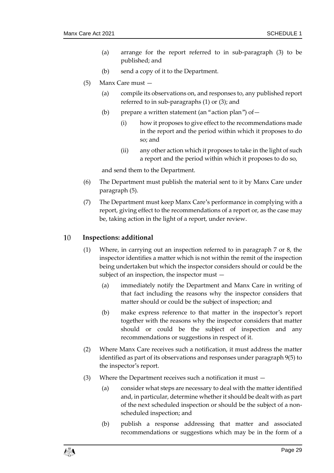- (a) arrange for the report referred to in sub-paragraph (3) to be published; and
- (b) send a copy of it to the Department.
- (5) Manx Care must
	- (a) compile its observations on, and responses to, any published report referred to in sub-paragraphs (1) or (3); and
	- (b) prepare a written statement (an "action plan") of  $-$ 
		- (i) how it proposes to give effect to the recommendations made in the report and the period within which it proposes to do so; and
		- (ii) any other action which it proposes to take in the light of such a report and the period within which it proposes to do so,

and send them to the Department.

- (6) The Department must publish the material sent to it by Manx Care under paragraph (5).
- (7) The Department must keep Manx Care's performance in complying with a report, giving effect to the recommendations of a report or, as the case may be, taking action in the light of a report, under review.

#### $10$ **Inspections: additional**

- (1) Where, in carrying out an inspection referred to in paragraph 7 or 8, the inspector identifies a matter which is not within the remit of the inspection being undertaken but which the inspector considers should or could be the subject of an inspection, the inspector must —
	- (a) immediately notify the Department and Manx Care in writing of that fact including the reasons why the inspector considers that matter should or could be the subject of inspection; and
	- (b) make express reference to that matter in the inspector's report together with the reasons why the inspector considers that matter should or could be the subject of inspection and any recommendations or suggestions in respect of it.
- (2) Where Manx Care receives such a notification, it must address the matter identified as part of its observations and responses under paragraph 9(5) to the inspector's report.
- (3) Where the Department receives such a notification it must
	- (a) consider what steps are necessary to deal with the matter identified and, in particular, determine whether it should be dealt with as part of the next scheduled inspection or should be the subject of a nonscheduled inspection; and
	- (b) publish a response addressing that matter and associated recommendations or suggestions which may be in the form of a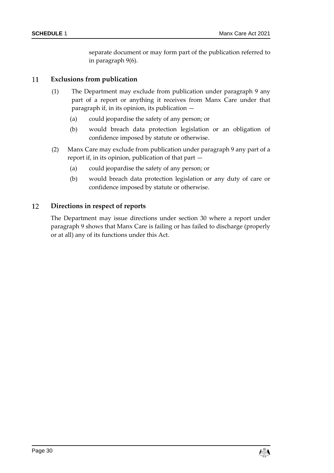separate document or may form part of the publication referred to in paragraph 9(6).

### 11 **Exclusions from publication**

- (1) The Department may exclude from publication under paragraph 9 any part of a report or anything it receives from Manx Care under that paragraph if, in its opinion, its publication —
	- (a) could jeopardise the safety of any person; or
	- (b) would breach data protection legislation or an obligation of confidence imposed by statute or otherwise.
- (2) Manx Care may exclude from publication under paragraph 9 any part of a report if, in its opinion, publication of that part —
	- (a) could jeopardise the safety of any person; or
	- (b) would breach data protection legislation or any duty of care or confidence imposed by statute or otherwise.

### 12 **Directions in respect of reports**

The Department may issue directions under section 30 where a report under paragraph 9 shows that Manx Care is failing or has failed to discharge (properly or at all) any of its functions under this Act.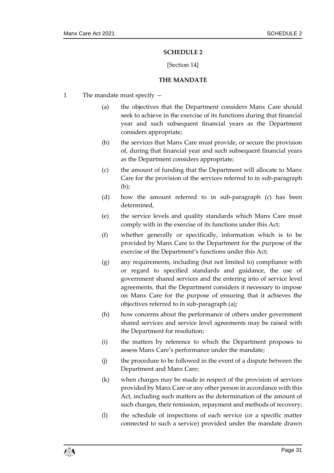## **SCHEDULE 2**

## [Section 14]

### **THE MANDATE**

- <span id="page-30-1"></span><span id="page-30-0"></span>1 The mandate must specify —
	- (a) the objectives that the Department considers Manx Care should seek to achieve in the exercise of its functions during that financial year and such subsequent financial years as the Department considers appropriate;
	- (b) the services that Manx Care must provide, or secure the provision of, during that financial year and such subsequent financial years as the Department considers appropriate;
	- (c) the amount of funding that the Department will allocate to Manx Care for the provision of the services referred to in sub-paragraph (b);
	- (d) how the amount referred to in sub-paragraph (c) has been determined,
	- (e) the service levels and quality standards which Manx Care must comply with in the exercise of its functions under this Act;
	- (f) whether generally or specifically, information which is to be provided by Manx Care to the Department for the purpose of the exercise of the Department's functions under this Act;
	- (g) any requirements, including (but not limited to) compliance with or regard to specified standards and guidance, the use of government shared services and the entering into of service level agreements, that the Department considers it necessary to impose on Manx Care for the purpose of ensuring that it achieves the objectives referred to in sub-paragraph (a);
	- (h) how concerns about the performance of others under government shared services and service level agreements may be raised with the Department for resolution;
	- (i) the matters by reference to which the Department proposes to assess Manx Care's performance under the mandate;
	- (j) the procedure to be followed in the event of a dispute between the Department and Manx Care;
	- (k) when charges may be made in respect of the provision of services provided by Manx Care or any other person in accordance with this Act, including such matters as the determination of the amount of such charges, their remission, repayment and methods of recovery;
	- (l) the schedule of inspections of each service (or a specific matter connected to such a service) provided under the mandate drawn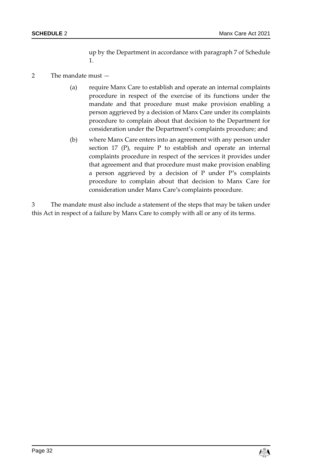up by the Department in accordance with paragraph 7 of Schedule 1.

## 2 The mandate must —

- (a) require Manx Care to establish and operate an internal complaints procedure in respect of the exercise of its functions under the mandate and that procedure must make provision enabling a person aggrieved by a decision of Manx Care under its complaints procedure to complain about that decision to the Department for consideration under the Department's complaints procedure; and
- (b) where Manx Care enters into an agreement with any person under section 17 (P), require P to establish and operate an internal complaints procedure in respect of the services it provides under that agreement and that procedure must make provision enabling a person aggrieved by a decision of P under P's complaints procedure to complain about that decision to Manx Care for consideration under Manx Care's complaints procedure.

3 The mandate must also include a statement of the steps that may be taken under this Act in respect of a failure by Manx Care to comply with all or any of its terms.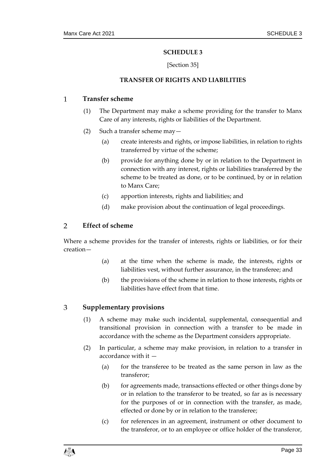## **SCHEDULE 3**

## [Section 35]

### **TRANSFER OF RIGHTS AND LIABILITIES**

#### <span id="page-32-1"></span><span id="page-32-0"></span> $\mathbf{1}$ **Transfer scheme**

- (1) The Department may make a scheme providing for the transfer to Manx Care of any interests, rights or liabilities of the Department.
- (2) Such a transfer scheme may—
	- (a) create interests and rights, or impose liabilities, in relation to rights transferred by virtue of the scheme;
	- (b) provide for anything done by or in relation to the Department in connection with any interest, rights or liabilities transferred by the scheme to be treated as done, or to be continued, by or in relation to Manx Care;
	- (c) apportion interests, rights and liabilities; and
	- (d) make provision about the continuation of legal proceedings.

### $\mathcal{P}$ **Effect of scheme**

Where a scheme provides for the transfer of interests, rights or liabilities, or for their creation—

- (a) at the time when the scheme is made, the interests, rights or liabilities vest, without further assurance, in the transferee; and
- (b) the provisions of the scheme in relation to those interests, rights or liabilities have effect from that time.

### 3 **Supplementary provisions**

- (1) A scheme may make such incidental, supplemental, consequential and transitional provision in connection with a transfer to be made in accordance with the scheme as the Department considers appropriate.
- (2) In particular, a scheme may make provision, in relation to a transfer in accordance with it —
	- (a) for the transferee to be treated as the same person in law as the transferor;
	- (b) for agreements made, transactions effected or other things done by or in relation to the transferor to be treated, so far as is necessary for the purposes of or in connection with the transfer, as made, effected or done by or in relation to the transferee;
	- (c) for references in an agreement, instrument or other document to the transferor, or to an employee or office holder of the transferor,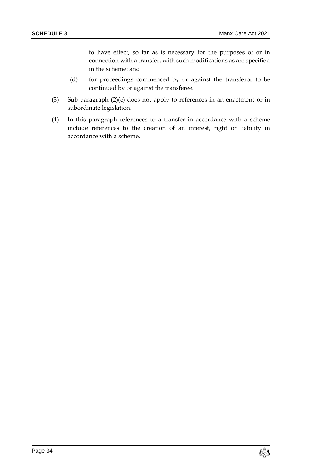to have effect, so far as is necessary for the purposes of or in connection with a transfer, with such modifications as are specified in the scheme; and

- (d) for proceedings commenced by or against the transferor to be continued by or against the transferee.
- (3) Sub-paragraph (2)(c) does not apply to references in an enactment or in subordinate legislation.
- (4) In this paragraph references to a transfer in accordance with a scheme include references to the creation of an interest, right or liability in accordance with a scheme.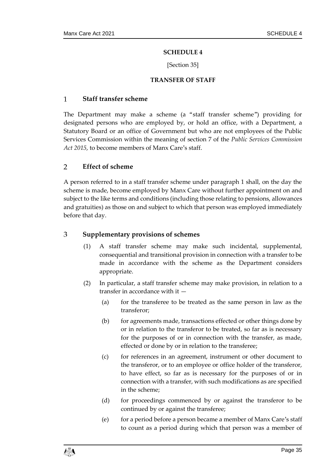## **SCHEDULE 4**

### [Section 35]

### **TRANSFER OF STAFF**

#### <span id="page-34-1"></span><span id="page-34-0"></span> $\mathbf{1}$ **Staff transfer scheme**

The Department may make a scheme (a "staff transfer scheme") providing for designated persons who are employed by, or hold an office, with a Department, a Statutory Board or an office of Government but who are not employees of the Public Services Commission within the meaning of section 7 of the *Public Services Commission Act 2015*, to become members of Manx Care's staff.

### $\overline{2}$ **Effect of scheme**

A person referred to in a staff transfer scheme under paragraph 1 shall, on the day the scheme is made, become employed by Manx Care without further appointment on and subject to the like terms and conditions (including those relating to pensions, allowances and gratuities) as those on and subject to which that person was employed immediately before that day.

### 3 **Supplementary provisions of schemes**

- (1) A staff transfer scheme may make such incidental, supplemental, consequential and transitional provision in connection with a transfer to be made in accordance with the scheme as the Department considers appropriate.
- (2) In particular, a staff transfer scheme may make provision, in relation to a transfer in accordance with it —
	- (a) for the transferee to be treated as the same person in law as the transferor;
	- (b) for agreements made, transactions effected or other things done by or in relation to the transferor to be treated, so far as is necessary for the purposes of or in connection with the transfer, as made, effected or done by or in relation to the transferee;
	- (c) for references in an agreement, instrument or other document to the transferor, or to an employee or office holder of the transferor, to have effect, so far as is necessary for the purposes of or in connection with a transfer, with such modifications as are specified in the scheme;
	- (d) for proceedings commenced by or against the transferor to be continued by or against the transferee;
	- (e) for a period before a person became a member of Manx Care's staff to count as a period during which that person was a member of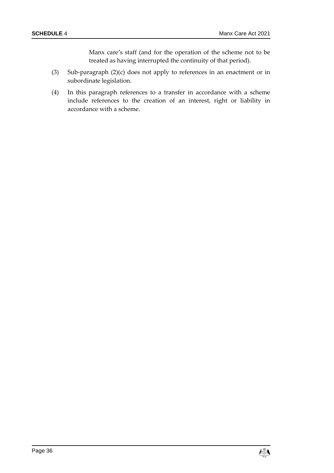Manx care's staff (and for the operation of the scheme not to be treated as having interrupted the continuity of that period).

- (3) Sub-paragraph (2)(c) does not apply to references in an enactment or in subordinate legislation.
- (4) In this paragraph references to a transfer in accordance with a scheme include references to the creation of an interest, right or liability in accordance with a scheme.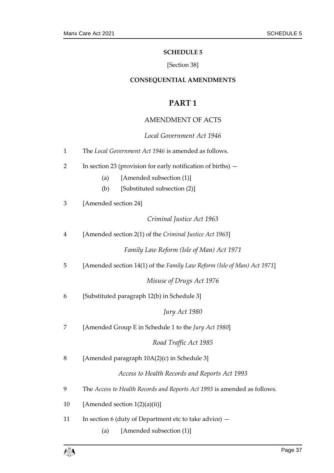### **SCHEDULE 5**

## [Section 38]

## <span id="page-36-0"></span>**CONSEQUENTIAL AMENDMENTS**

## **PART 1**

## AMENDMENT OF ACTS

<span id="page-36-1"></span>

|                | Local Government Act 1946                                                |  |  |  |
|----------------|--------------------------------------------------------------------------|--|--|--|
| $\mathbf{1}$   | The Local Government Act 1946 is amended as follows.                     |  |  |  |
| $\overline{2}$ | In section 23 (provision for early notification of births) $-$           |  |  |  |
|                | [Amended subsection (1)]<br>(a)                                          |  |  |  |
|                | [Substituted subsection (2)]<br>(b)                                      |  |  |  |
| 3              | [Amended section 24]                                                     |  |  |  |
|                | Criminal Justice Act 1963                                                |  |  |  |
| $\overline{4}$ | [Amended section 2(1) of the Criminal Justice Act 1963]                  |  |  |  |
|                | Family Law Reform (Isle of Man) Act 1971                                 |  |  |  |
| 5              | [Amended section 14(1) of the Family Law Reform (Isle of Man) Act 1971]  |  |  |  |
|                | Misuse of Drugs Act 1976                                                 |  |  |  |
| 6              | [Substituted paragraph 12(b) in Schedule 3]                              |  |  |  |
|                | Jury Act 1980                                                            |  |  |  |
| 7              | [Amended Group E in Schedule 1 to the Jury Act 1980]                     |  |  |  |
|                | Road Traffic Act 1985                                                    |  |  |  |
| 8              | [Amended paragraph 10A(2)(c) in Schedule 3]                              |  |  |  |
|                | Access to Health Records and Reports Act 1993                            |  |  |  |
| 9              | The Access to Health Records and Reports Act 1993 is amended as follows. |  |  |  |
| 10             | [Amended section 1(2)(a)(ii)]                                            |  |  |  |
| 11             | In section 6 (duty of Department etc to take advice) -                   |  |  |  |

(a) [Amended subsection (1)]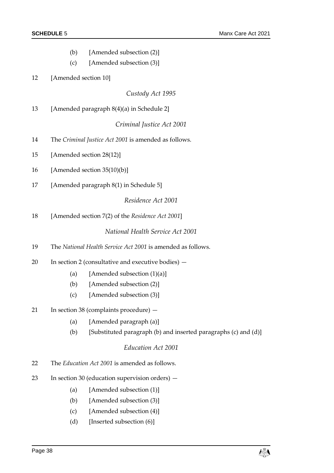(b) [Amended subsection (2)] (c) [Amended subsection (3)] 12 [Amended section 10] *Custody Act 1995* 13 [Amended paragraph 8(4)(a) in Schedule 2] *Criminal Justice Act 2001* 14 The *Criminal Justice Act 2001* is amended as follows. 15 [Amended section 28(12)] 16 [Amended section 35(10)(b)] 17 [Amended paragraph 8(1) in Schedule 5] *Residence Act 2001* 18 [Amended section 7(2) of the *Residence Act 2001*]

## *National Health Service Act 2001*

- 19 The *National Health Service Act 2001* is amended as follows.
- 20 In section 2 (consultative and executive bodies)
	- (a) [Amended subsection  $(1)(a)$ ]
	- (b) [Amended subsection (2)]
	- (c) [Amended subsection (3)]
- 21 In section 38 (complaints procedure)
	- (a) [Amended paragraph (a)]
	- (b) [Substituted paragraph (b) and inserted paragraphs (c) and (d)]

### *Education Act 2001*

- 22 The *Education Act 2001* is amended as follows.
- 23 In section 30 (education supervision orders)
	- (a) [Amended subsection (1)]
	- (b) [Amended subsection (3)]
	- (c) [Amended subsection (4)]
	- (d) [Inserted subsection (6)]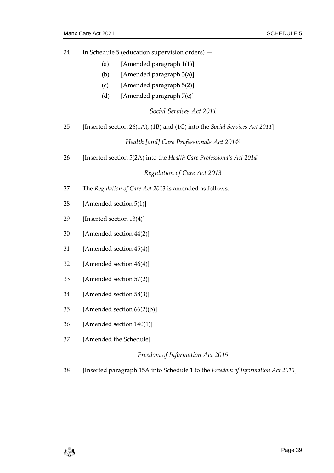- 24 In Schedule 5 (education supervision orders)
	- (a) [Amended paragraph 1(1)]
	- (b) [Amended paragraph 3(a)]
	- (c) [Amended paragraph 5(2)]
	- (d) [Amended paragraph  $7(c)$ ]

*Social Services Act 2011*

25 [Inserted section 26(1A), (1B) and (1C) into the *Social Services Act 2011*]

*Health [and] Care Professionals Act 2014<sup>6</sup>*

26 [Inserted section 5(2A) into the *Health Care Professionals Act 2014*]

*Regulation of Care Act 2013*

- 27 The *Regulation of Care Act 2013* is amended as follows.
- 28 [Amended section 5(1)]
- 29 [Inserted section 13(4)]
- 30 [Amended section 44(2)]
- 31 [Amended section 45(4)]
- 32 [Amended section 46(4)]
- 33 [Amended section 57(2)]
- 34 [Amended section 58(3)]
- 35 [Amended section 66(2)(b)]
- 36 [Amended section 140(1)]
- 37 [Amended the Schedule]

### *Freedom of Information Act 2015*

38 [Inserted paragraph 15A into Schedule 1 to the *Freedom of Information Act 2015*]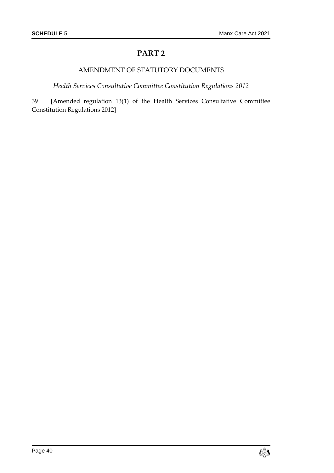## **PART 2**

## AMENDMENT OF STATUTORY DOCUMENTS

*Health Services Consultative Committee Constitution Regulations 2012*

39 [Amended regulation 13(1) of the Health Services Consultative Committee Constitution Regulations 2012]